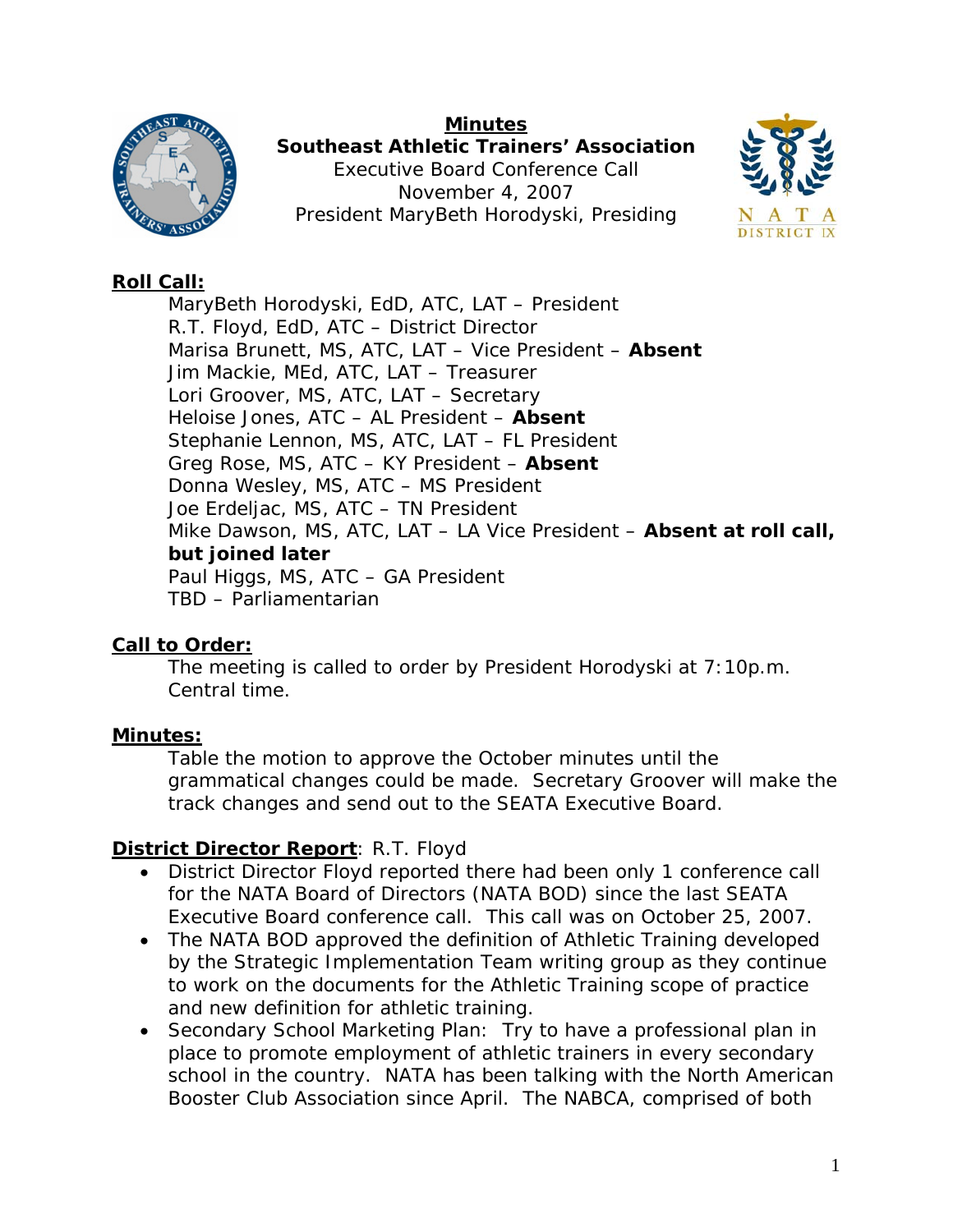### **Minutes**



**Southeast Athletic Trainers' Association**  Executive Board Conference Call November 4, 2007 President MaryBeth Horodyski, Presiding



# **Roll Call:**

MaryBeth Horodyski, EdD, ATC, LAT – President R.T. Floyd, EdD, ATC – District Director Marisa Brunett, MS, ATC, LAT – Vice President – **Absent** Jim Mackie, MEd, ATC, LAT – Treasurer Lori Groover, MS, ATC, LAT – Secretary Heloise Jones, ATC – AL President – **Absent** Stephanie Lennon, MS, ATC, LAT – FL President Greg Rose, MS, ATC – KY President – **Absent** Donna Wesley, MS, ATC – MS President Joe Erdeljac, MS, ATC – TN President Mike Dawson, MS, ATC, LAT – LA Vice President – **Absent at roll call, but joined later**  Paul Higgs, MS, ATC – GA President TBD – Parliamentarian

## **Call to Order:**

The meeting is called to order by President Horodyski at 7:10p.m. Central time.

## **Minutes:**

Table the motion to approve the October minutes until the grammatical changes could be made. Secretary Groover will make the track changes and send out to the SEATA Executive Board.

## **District Director Report**: R.T. Floyd

- District Director Floyd reported there had been only 1 conference call for the NATA Board of Directors (NATA BOD) since the last SEATA Executive Board conference call. This call was on October 25, 2007.
- The NATA BOD approved the definition of Athletic Training developed by the Strategic Implementation Team writing group as they continue to work on the documents for the Athletic Training scope of practice and new definition for athletic training.
- Secondary School Marketing Plan: Try to have a professional plan in place to promote employment of athletic trainers in every secondary school in the country. NATA has been talking with the North American Booster Club Association since April. The NABCA, comprised of both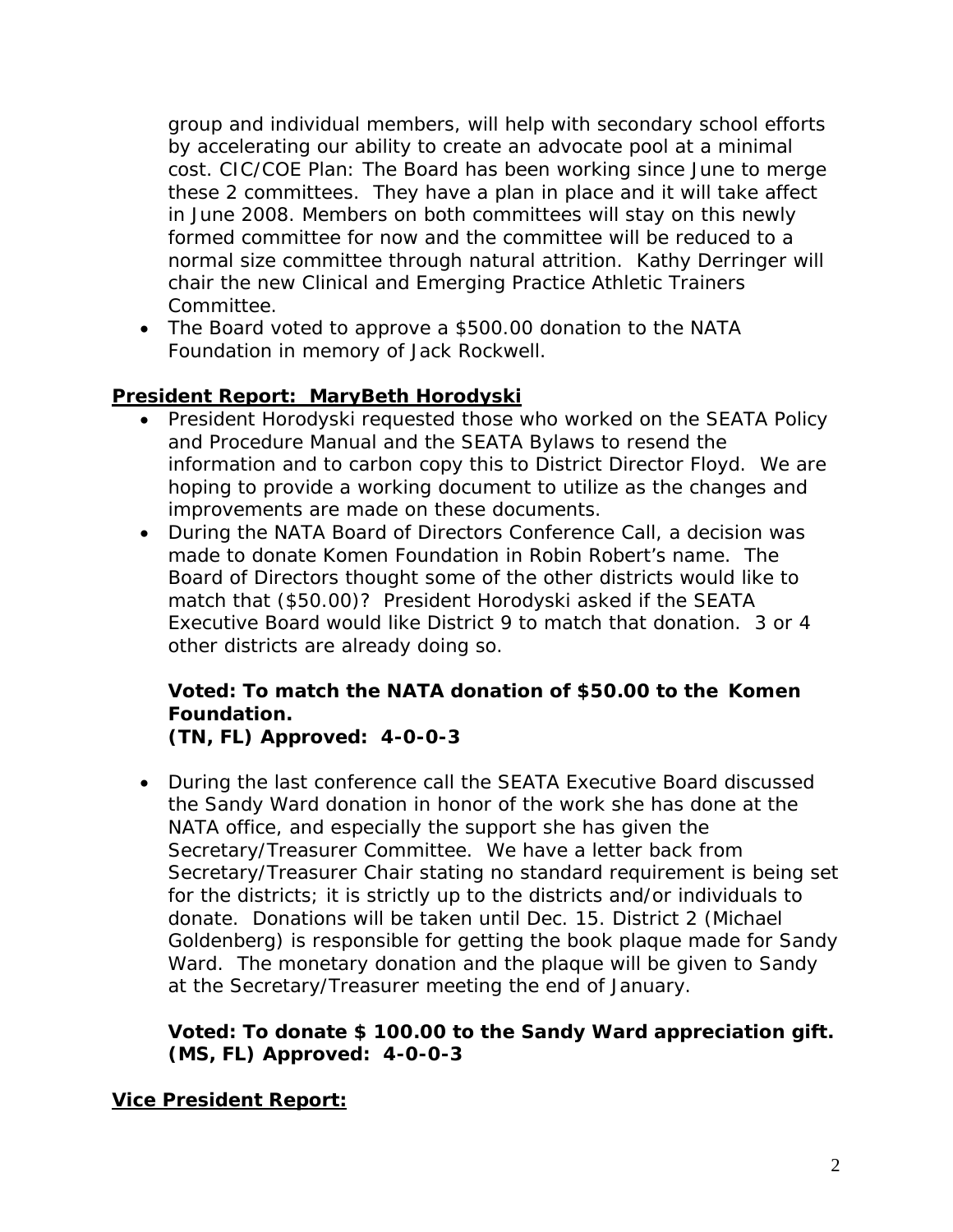group and individual members, will help with secondary school efforts by accelerating our ability to create an advocate pool at a minimal cost. CIC/COE Plan: The Board has been working since June to merge these 2 committees. They have a plan in place and it will take affect in June 2008. Members on both committees will stay on this newly formed committee for now and the committee will be reduced to a normal size committee through natural attrition. Kathy Derringer will chair the new Clinical and Emerging Practice Athletic Trainers Committee.

• The Board voted to approve a \$500.00 donation to the NATA Foundation in memory of Jack Rockwell.

## **President Report: MaryBeth Horodyski**

- President Horodyski requested those who worked on the SEATA Policy and Procedure Manual and the SEATA Bylaws to resend the information and to carbon copy this to District Director Floyd. We are hoping to provide a working document to utilize as the changes and improvements are made on these documents.
- During the NATA Board of Directors Conference Call, a decision was made to donate Komen Foundation in Robin Robert's name. The Board of Directors thought some of the other districts would like to match that (\$50.00)? President Horodyski asked if the SEATA Executive Board would like District 9 to match that donation. 3 or 4 other districts are already doing so.

### **Voted: To match the NATA donation of \$50.00 to the Komen Foundation. (TN, FL) Approved: 4-0-0-3**

• During the last conference call the SEATA Executive Board discussed the Sandy Ward donation in honor of the work she has done at the NATA office, and especially the support she has given the Secretary/Treasurer Committee. We have a letter back from Secretary/Treasurer Chair stating no standard requirement is being set for the districts; it is strictly up to the districts and/or individuals to donate. Donations will be taken until Dec. 15. District 2 (Michael Goldenberg) is responsible for getting the book plaque made for Sandy Ward. The monetary donation and the plaque will be given to Sandy at the Secretary/Treasurer meeting the end of January.

### **Voted: To donate \$ 100.00 to the Sandy Ward appreciation gift. (MS, FL) Approved: 4-0-0-3**

### **Vice President Report:**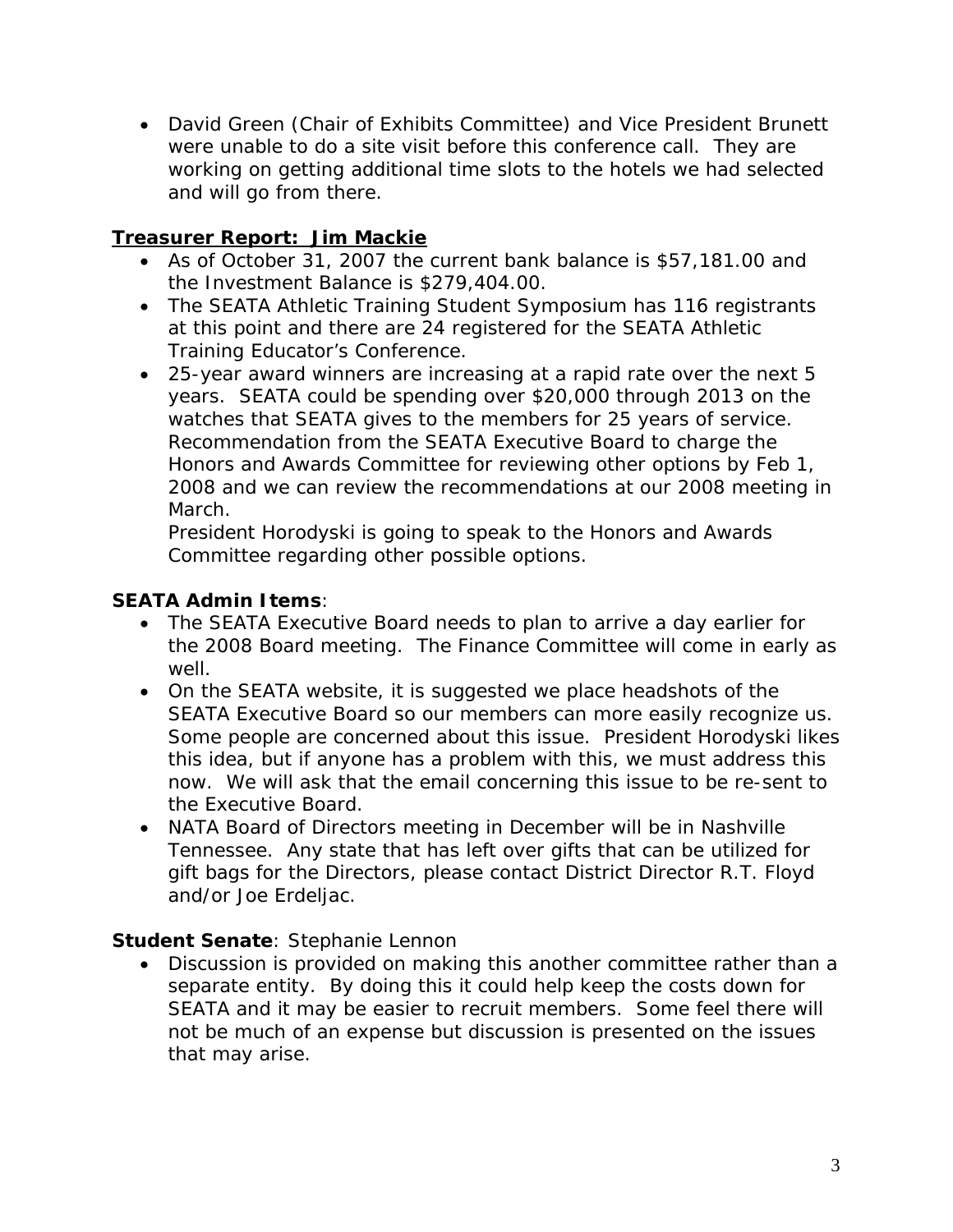• David Green (Chair of Exhibits Committee) and Vice President Brunett were unable to do a site visit before this conference call. They are working on getting additional time slots to the hotels we had selected and will go from there.

# **Treasurer Report: Jim Mackie**

- As of October 31, 2007 the current bank balance is \$57,181.00 and the Investment Balance is \$279,404.00.
- The SEATA Athletic Training Student Symposium has 116 registrants at this point and there are 24 registered for the SEATA Athletic Training Educator's Conference.
- 25-year award winners are increasing at a rapid rate over the next 5 years. SEATA could be spending over \$20,000 through 2013 on the watches that SEATA gives to the members for 25 years of service. Recommendation from the SEATA Executive Board to charge the Honors and Awards Committee for reviewing other options by Feb 1, 2008 and we can review the recommendations at our 2008 meeting in March.

President Horodyski is going to speak to the Honors and Awards Committee regarding other possible options.

# **SEATA Admin Items**:

- The SEATA Executive Board needs to plan to arrive a day earlier for the 2008 Board meeting. The Finance Committee will come in early as well.
- On the SEATA website, it is suggested we place headshots of the SEATA Executive Board so our members can more easily recognize us. Some people are concerned about this issue. President Horodyski likes this idea, but if anyone has a problem with this, we must address this now. We will ask that the email concerning this issue to be re-sent to the Executive Board.
- NATA Board of Directors meeting in December will be in Nashville Tennessee. Any state that has left over gifts that can be utilized for gift bags for the Directors, please contact District Director R.T. Floyd and/or Joe Erdeljac.

### **Student Senate**: Stephanie Lennon

• Discussion is provided on making this another committee rather than a separate entity. By doing this it could help keep the costs down for SEATA and it may be easier to recruit members. Some feel there will not be much of an expense but discussion is presented on the issues that may arise.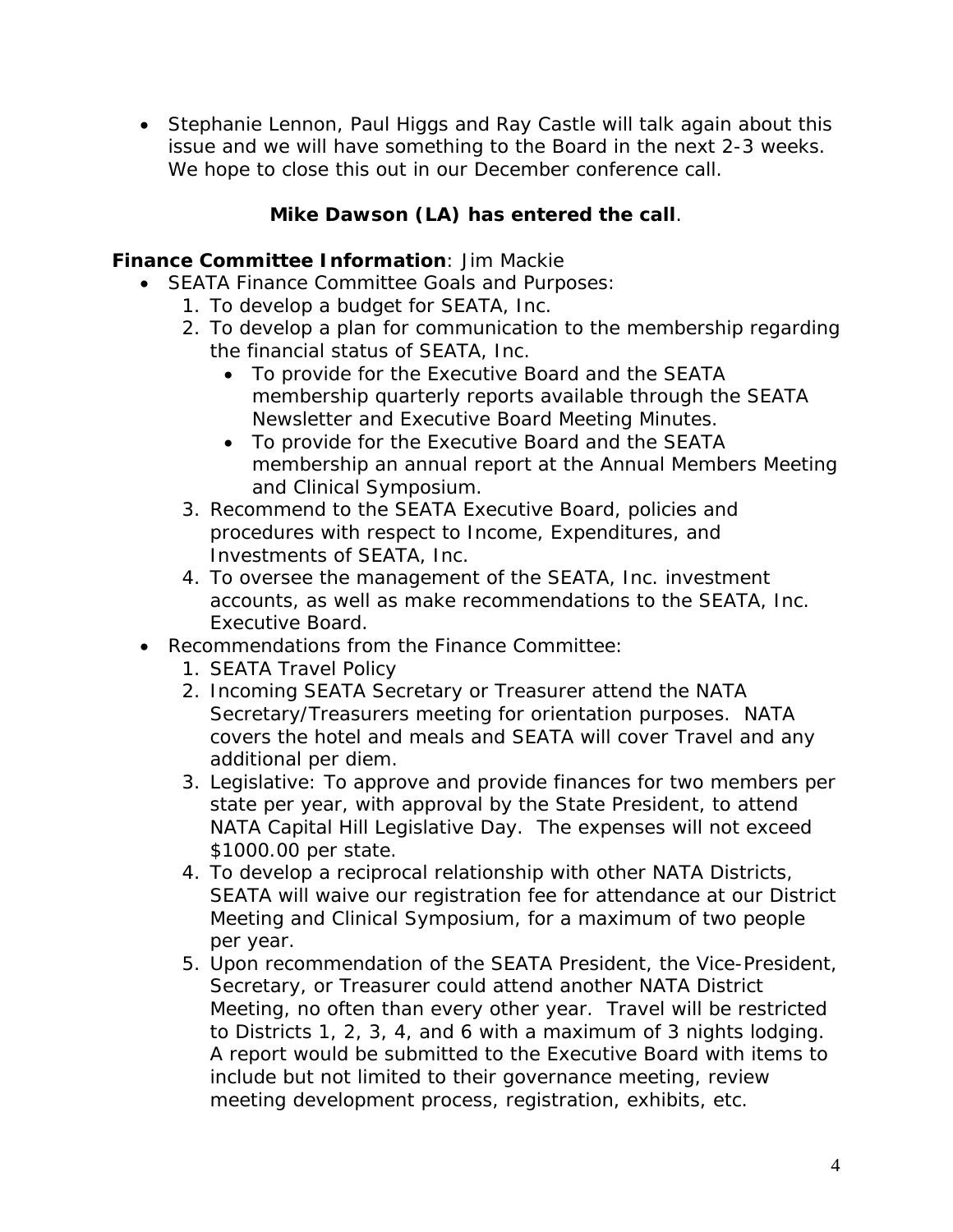• Stephanie Lennon, Paul Higgs and Ray Castle will talk again about this issue and we will have something to the Board in the next 2-3 weeks. We hope to close this out in our December conference call.

# *Mike Dawson (LA) has entered the call.*

# **Finance Committee Information**: Jim Mackie

- SEATA Finance Committee Goals and Purposes:
	- 1. To develop a budget for SEATA, Inc.
	- 2. To develop a plan for communication to the membership regarding the financial status of SEATA, Inc.
		- To provide for the Executive Board and the SEATA membership quarterly reports available through the SEATA Newsletter and Executive Board Meeting Minutes.
		- To provide for the Executive Board and the SEATA membership an annual report at the Annual Members Meeting and Clinical Symposium.
	- 3. Recommend to the SEATA Executive Board, policies and procedures with respect to Income, Expenditures, and Investments of SEATA, Inc.
	- 4. To oversee the management of the SEATA, Inc. investment accounts, as well as make recommendations to the SEATA, Inc. Executive Board.
- Recommendations from the Finance Committee:
	- 1. SEATA Travel Policy
	- 2. Incoming SEATA Secretary or Treasurer attend the NATA Secretary/Treasurers meeting for orientation purposes. NATA covers the hotel and meals and SEATA will cover Travel and any additional per diem.
	- 3. Legislative: To approve and provide finances for two members per state per year, with approval by the State President, to attend NATA Capital Hill Legislative Day. The expenses will not exceed \$1000.00 per state.
	- 4. To develop a reciprocal relationship with other NATA Districts, SEATA will waive our registration fee for attendance at our District Meeting and Clinical Symposium, for a maximum of two people per year.
	- 5. Upon recommendation of the SEATA President, the Vice-President, Secretary, or Treasurer could attend another NATA District Meeting, no often than every other year. Travel will be restricted to Districts 1, 2, 3, 4, and 6 with a maximum of 3 nights lodging. A report would be submitted to the Executive Board with items to include but not limited to their governance meeting, review meeting development process, registration, exhibits, etc.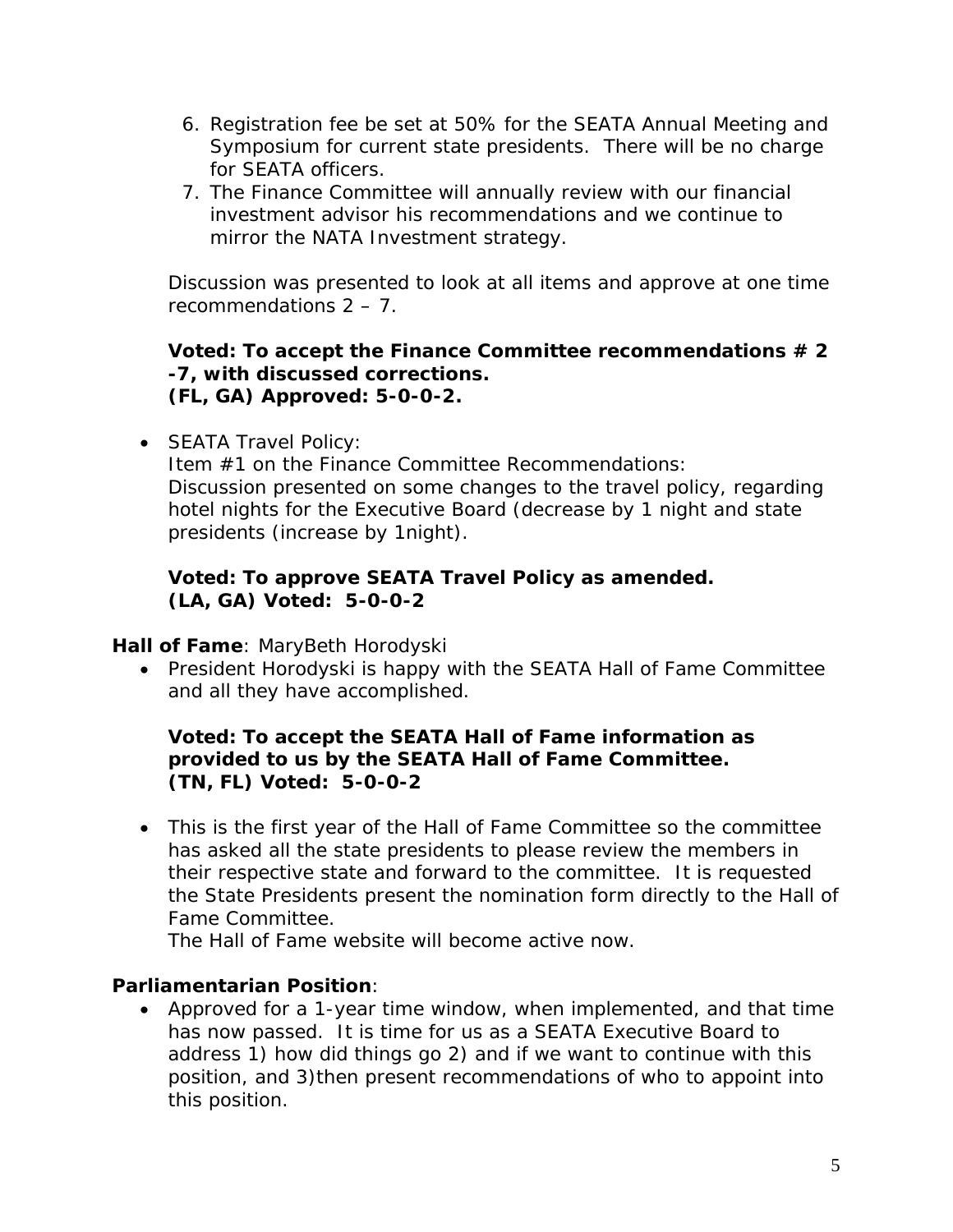- 6. Registration fee be set at 50% for the SEATA Annual Meeting and Symposium for current state presidents. There will be no charge for SEATA officers.
- 7. The Finance Committee will annually review with our financial investment advisor his recommendations and we continue to mirror the NATA Investment strategy.

Discussion was presented to look at all items and approve at one time recommendations 2 – 7.

### **Voted: To accept the Finance Committee recommendations # 2 -7, with discussed corrections. (FL, GA) Approved: 5-0-0-2.**

• SEATA Travel Policy:

Item #1 on the Finance Committee Recommendations: Discussion presented on some changes to the travel policy, regarding hotel nights for the Executive Board (decrease by 1 night and state presidents (increase by 1night).

### **Voted: To approve SEATA Travel Policy as amended. (LA, GA) Voted: 5-0-0-2**

**Hall of Fame**: MaryBeth Horodyski

• President Horodyski is happy with the SEATA Hall of Fame Committee and all they have accomplished.

## **Voted: To accept the SEATA Hall of Fame information as provided to us by the SEATA Hall of Fame Committee. (TN, FL) Voted: 5-0-0-2**

• This is the first year of the Hall of Fame Committee so the committee has asked all the state presidents to please review the members in their respective state and forward to the committee. It is requested the State Presidents present the nomination form directly to the Hall of Fame Committee.

The Hall of Fame website will become active now.

## **Parliamentarian Position**:

• Approved for a 1-year time window, when implemented, and that time has now passed. It is time for us as a SEATA Executive Board to address 1) how did things go 2) and if we want to continue with this position, and 3)then present recommendations of who to appoint into this position.